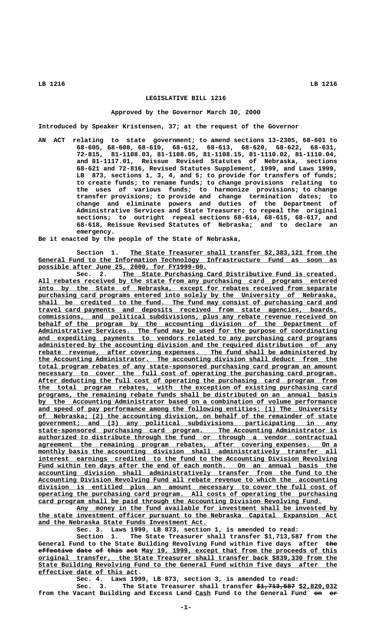# **LEGISLATIVE BILL 1216**

### **Approved by the Governor March 30, 2000**

**Introduced by Speaker Kristensen, 37; at the request of the Governor**

**AN ACT relating to state government; to amend sections 13-2305, 68-601 to 68-605, 68-608, 68-610, 68-612, 68-613, 68-620, 68-622, 68-631, 72-815, 81-1108.03, 81-1108.05, 81-1108.15, 81-1110.02, 81-1110.04, and 81-1117.01, Reissue Revised Statutes of Nebraska, sections 68-621 and 72-816, Revised Statutes Supplement, 1999, and Laws 1999, LB 873, sections 1, 3, 4, and 5; to provide for transfers of funds; to create funds; to rename funds; to change provisions relating to the uses of various funds; to harmonize provisions; to change transfer provisions; to provide and change termination dates; to change and eliminate powers and duties of the Department of Administrative Services and State Treasurer; to repeal the original sections; to outright repeal sections 68-614, 68-615, 68-617, and 68-618, Reissue Revised Statutes of Nebraska; and to declare an emergency.**

**Be it enacted by the people of the State of Nebraska,**

Section 1. The State Treasurer shall transfer \$2,383,121 from the  **\_\_\_\_\_\_\_\_\_\_\_\_\_\_\_\_\_\_\_\_\_\_\_\_\_\_\_\_\_\_\_\_\_\_\_\_\_\_\_\_\_\_\_\_\_\_\_\_\_\_\_\_\_\_\_\_\_\_\_\_\_\_\_\_\_\_\_\_\_\_\_\_\_\_\_\_\_\_ General Fund to the Information Technology Infrastructure Fund as soon as \_\_\_\_\_\_\_\_\_\_\_\_\_\_\_\_\_\_\_\_\_\_\_\_\_\_\_\_\_\_\_\_\_\_\_\_\_\_\_\_\_\_\_\_ possible after June 25, 2000, for FY1999-00.**

Sec. 2. The State Purchasing Card Distributive Fund is created.  **\_\_\_\_\_\_\_\_\_\_\_\_\_\_\_\_\_\_\_\_\_\_\_\_\_\_\_\_\_\_\_\_\_\_\_\_\_\_\_\_\_\_\_\_\_\_\_\_\_\_\_\_\_\_\_\_\_\_\_\_\_\_\_\_\_\_\_\_\_\_\_\_\_\_\_\_\_\_ All rebates received by the state from any purchasing card programs entered**  $\frac{1}{2}$  into by the State of Nebraska, except for rebates received from separate  **\_\_\_\_\_\_\_\_\_\_\_\_\_\_\_\_\_\_\_\_\_\_\_\_\_\_\_\_\_\_\_\_\_\_\_\_\_\_\_\_\_\_\_\_\_\_\_\_\_\_\_\_\_\_\_\_\_\_\_\_\_\_\_\_\_\_\_\_\_\_\_\_\_\_\_\_\_\_ purchasing card programs entered into solely by the University of Nebraska, \_\_\_\_\_\_\_\_\_\_\_\_\_\_\_\_\_\_\_\_\_\_\_\_\_\_\_\_\_\_\_\_\_\_\_\_\_\_\_\_\_\_\_\_\_\_\_\_\_\_\_\_\_\_\_\_\_\_\_\_\_\_\_\_\_\_\_\_\_\_\_\_\_\_\_\_\_\_ shall be credited to the fund. The fund may consist of purchasing card and \_\_\_\_\_\_\_\_\_\_\_\_\_\_\_\_\_\_\_\_\_\_\_\_\_\_\_\_\_\_\_\_\_\_\_\_\_\_\_\_\_\_\_\_\_\_\_\_\_\_\_\_\_\_\_\_\_\_\_\_\_\_\_\_\_\_\_\_\_\_\_\_\_\_\_\_\_\_ travel card payments and deposits received from state agencies, boards, \_\_\_\_\_\_\_\_\_\_\_\_\_\_\_\_\_\_\_\_\_\_\_\_\_\_\_\_\_\_\_\_\_\_\_\_\_\_\_\_\_\_\_\_\_\_\_\_\_\_\_\_\_\_\_\_\_\_\_\_\_\_\_\_\_\_\_\_\_\_\_\_\_\_\_\_\_\_ commissions, and political subdivisions, plus any rebate revenue received on \_\_\_\_\_\_\_\_\_\_\_\_\_\_\_\_\_\_\_\_\_\_\_\_\_\_\_\_\_\_\_\_\_\_\_\_\_\_\_\_\_\_\_\_\_\_\_\_\_\_\_\_\_\_\_\_\_\_\_\_\_\_\_\_\_\_\_\_\_\_\_\_\_\_\_\_\_\_ behalf of the program by the accounting division of the Department of \_\_\_\_\_\_\_\_\_\_\_\_\_\_\_\_\_\_\_\_\_\_\_\_\_\_\_\_\_\_\_\_\_\_\_\_\_\_\_\_\_\_\_\_\_\_\_\_\_\_\_\_\_\_\_\_\_\_\_\_\_\_\_\_\_\_\_\_\_\_\_\_\_\_\_\_\_\_ Administrative Services. The fund may be used for the purpose of coordinating \_\_\_\_\_\_\_\_\_\_\_\_\_\_\_\_\_\_\_\_\_\_\_\_\_\_\_\_\_\_\_\_\_\_\_\_\_\_\_\_\_\_\_\_\_\_\_\_\_\_\_\_\_\_\_\_\_\_\_\_\_\_\_\_\_\_\_\_\_\_\_\_\_\_\_\_\_\_ and expediting payments to vendors related to any purchasing card programs \_\_\_\_\_\_\_\_\_\_\_\_\_\_\_\_\_\_\_\_\_\_\_\_\_\_\_\_\_\_\_\_\_\_\_\_\_\_\_\_\_\_\_\_\_\_\_\_\_\_\_\_\_\_\_\_\_\_\_\_\_\_\_\_\_\_\_\_\_\_\_\_\_\_\_\_\_\_ administered by the accounting division and the required distribution of any \_\_\_\_\_\_\_\_\_\_\_\_\_\_\_\_\_\_\_\_\_\_\_\_\_\_\_\_\_\_\_\_\_\_\_\_\_\_\_\_\_\_\_\_\_\_\_\_\_\_\_\_\_\_\_\_\_\_\_\_\_\_\_\_\_\_\_\_\_\_\_\_\_\_\_\_\_\_ rebate revenue, after covering expenses. The fund shall be administered by \_\_\_\_\_\_\_\_\_\_\_\_\_\_\_\_\_\_\_\_\_\_\_\_\_\_\_\_\_\_\_\_\_\_\_\_\_\_\_\_\_\_\_\_\_\_\_\_\_\_\_\_\_\_\_\_\_\_\_\_\_\_\_\_\_\_\_\_\_\_\_\_\_\_\_\_\_\_ the Accounting Administrator. The accounting division shall deduct from the \_\_\_\_\_\_\_\_\_\_\_\_\_\_\_\_\_\_\_\_\_\_\_\_\_\_\_\_\_\_\_\_\_\_\_\_\_\_\_\_\_\_\_\_\_\_\_\_\_\_\_\_\_\_\_\_\_\_\_\_\_\_\_\_\_\_\_\_\_\_\_\_\_\_\_\_\_\_ total program rebates of any state-sponsored purchasing card program an amount** necessary to cover the full cost of operating the purchasing card program.  **\_\_\_\_\_\_\_\_\_\_\_\_\_\_\_\_\_\_\_\_\_\_\_\_\_\_\_\_\_\_\_\_\_\_\_\_\_\_\_\_\_\_\_\_\_\_\_\_\_\_\_\_\_\_\_\_\_\_\_\_\_\_\_\_\_\_\_\_\_\_\_\_\_\_\_\_\_\_ After deducting the full cost of operating the purchasing card program from \_\_\_\_\_\_\_\_\_\_\_\_\_\_\_\_\_\_\_\_\_\_\_\_\_\_\_\_\_\_\_\_\_\_\_\_\_\_\_\_\_\_\_\_\_\_\_\_\_\_\_\_\_\_\_\_\_\_\_\_\_\_\_\_\_\_\_\_\_\_\_\_\_\_\_\_\_\_ the total program rebates, with the exception of existing purchasing card \_\_\_\_\_\_\_\_\_\_\_\_\_\_\_\_\_\_\_\_\_\_\_\_\_\_\_\_\_\_\_\_\_\_\_\_\_\_\_\_\_\_\_\_\_\_\_\_\_\_\_\_\_\_\_\_\_\_\_\_\_\_\_\_\_\_\_\_\_\_\_\_\_\_\_\_\_\_ programs, the remaining rebate funds shall be distributed on an annual basis \_\_\_\_\_\_\_\_\_\_\_\_\_\_\_\_\_\_\_\_\_\_\_\_\_\_\_\_\_\_\_\_\_\_\_\_\_\_\_\_\_\_\_\_\_\_\_\_\_\_\_\_\_\_\_\_\_\_\_\_\_\_\_\_\_\_\_\_\_\_\_\_\_\_\_\_\_\_ by the Accounting Administrator based on a combination of volume performance** and speed of pay performance among the following entities: (1) The University  **\_\_\_\_\_\_\_\_\_\_\_\_\_\_\_\_\_\_\_\_\_\_\_\_\_\_\_\_\_\_\_\_\_\_\_\_\_\_\_\_\_\_\_\_\_\_\_\_\_\_\_\_\_\_\_\_\_\_\_\_\_\_\_\_\_\_\_\_\_\_\_\_\_\_\_\_\_\_ of Nebraska; (2) the accounting division, on behalf of the remainder of state \_\_\_\_\_\_\_\_\_\_\_\_\_\_\_\_\_\_\_\_\_\_\_\_\_\_\_\_\_\_\_\_\_\_\_\_\_\_\_\_\_\_\_\_\_\_\_\_\_\_\_\_\_\_\_\_\_\_\_\_\_\_\_\_\_\_\_\_\_\_\_\_\_\_\_\_\_\_ government; and (3) any political subdivisions participating in any \_\_\_\_\_\_\_\_\_\_\_\_\_\_\_\_\_\_\_\_\_\_\_\_\_\_\_\_\_\_\_\_\_\_\_\_\_\_\_\_\_\_\_\_\_\_\_\_\_\_\_\_\_\_\_\_\_\_\_\_\_\_\_\_\_\_\_\_\_\_\_\_\_\_\_\_\_\_ state-sponsored purchasing card program. The Accounting Administrator is \_\_\_\_\_\_\_\_\_\_\_\_\_\_\_\_\_\_\_\_\_\_\_\_\_\_\_\_\_\_\_\_\_\_\_\_\_\_\_\_\_\_\_\_\_\_\_\_\_\_\_\_\_\_\_\_\_\_\_\_\_\_\_\_\_\_\_\_\_\_\_\_\_\_\_\_\_\_ authorized to distribute through the fund or through a vendor contractual \_\_\_\_\_\_\_\_\_\_\_\_\_\_\_\_\_\_\_\_\_\_\_\_\_\_\_\_\_\_\_\_\_\_\_\_\_\_\_\_\_\_\_\_\_\_\_\_\_\_\_\_\_\_\_\_\_\_\_\_\_\_\_\_\_\_\_\_\_\_\_\_\_\_\_\_\_\_ agreement the remaining program rebates, after covering expenses. On a**  $\text{monthly basis the accounting division shall administratively transfer all}$  **\_\_\_\_\_\_\_\_\_\_\_\_\_\_\_\_\_\_\_\_\_\_\_\_\_\_\_\_\_\_\_\_\_\_\_\_\_\_\_\_\_\_\_\_\_\_\_\_\_\_\_\_\_\_\_\_\_\_\_\_\_\_\_\_\_\_\_\_\_\_\_\_\_\_\_\_\_\_ interest earnings credited to the fund to the Accounting Division Revolving** Fund within ten days after the end of each month. On an annual basis the  **\_\_\_\_\_\_\_\_\_\_\_\_\_\_\_\_\_\_\_\_\_\_\_\_\_\_\_\_\_\_\_\_\_\_\_\_\_\_\_\_\_\_\_\_\_\_\_\_\_\_\_\_\_\_\_\_\_\_\_\_\_\_\_\_\_\_\_\_\_\_\_\_\_\_\_\_\_\_ accounting division shall administratively transfer from the fund to the \_\_\_\_\_\_\_\_\_\_\_\_\_\_\_\_\_\_\_\_\_\_\_\_\_\_\_\_\_\_\_\_\_\_\_\_\_\_\_\_\_\_\_\_\_\_\_\_\_\_\_\_\_\_\_\_\_\_\_\_\_\_\_\_\_\_\_\_\_\_\_\_\_\_\_\_\_\_ Accounting Division Revolving Fund all rebate revenue to which the accounting \_\_\_\_\_\_\_\_\_\_\_\_\_\_\_\_\_\_\_\_\_\_\_\_\_\_\_\_\_\_\_\_\_\_\_\_\_\_\_\_\_\_\_\_\_\_\_\_\_\_\_\_\_\_\_\_\_\_\_\_\_\_\_\_\_\_\_\_\_\_\_\_\_\_\_\_\_\_ division is entitled plus an amount necessary to cover the full cost of \_\_\_\_\_\_\_\_\_\_\_\_\_\_\_\_\_\_\_\_\_\_\_\_\_\_\_\_\_\_\_\_\_\_\_\_\_\_\_\_\_\_\_\_\_\_\_\_\_\_\_\_\_\_\_\_\_\_\_\_\_\_\_\_\_\_\_\_\_\_\_\_\_\_\_\_\_\_ operating the purchasing card program. All costs of operating the purchasing \_\_\_\_\_\_\_\_\_\_\_\_\_\_\_\_\_\_\_\_\_\_\_\_\_\_\_\_\_\_\_\_\_\_\_\_\_\_\_\_\_\_\_\_\_\_\_\_\_\_\_\_\_\_\_\_\_\_\_\_\_\_\_\_\_\_\_\_\_\_\_\_\_\_ card program shall be paid through the Accounting Division Revolving Fund.**

> **\_\_\_\_\_\_\_\_\_\_\_\_\_\_\_\_\_\_\_\_\_\_\_\_\_\_\_\_\_\_\_\_\_\_\_\_\_\_\_\_\_\_\_\_\_\_\_\_\_\_\_\_\_\_\_\_\_\_\_\_\_\_\_\_\_\_\_\_ Any money in the fund available for investment shall be invested by \_\_\_\_\_\_\_\_\_\_\_\_\_\_\_\_\_\_\_\_\_\_\_\_\_\_\_\_\_\_\_\_\_\_\_\_\_\_\_\_\_\_\_\_\_\_\_\_\_\_\_\_\_\_\_\_\_\_\_\_\_\_\_\_\_\_\_\_\_\_\_\_\_\_\_\_\_\_ the state investment officer pursuant to the Nebraska Capital Expansion Act \_\_\_\_\_\_\_\_\_\_\_\_\_\_\_\_\_\_\_\_\_\_\_\_\_\_\_\_\_\_\_\_\_\_\_\_\_\_\_\_\_\_\_\_ and the Nebraska State Funds Investment Act.**

> > **Sec. 3. Laws 1999, LB 873, section 1, is amended to read:**

**Section 1. The State Treasurer shall transfer \$1,713,587 from the** General Fund to the State Building Revolving Fund within five days after the **effective date of this act May 19, 1999, except that from the proceeds of this \_\_\_\_\_\_\_\_\_\_\_\_\_\_\_\_\_\_\_\_\_\_\_\_\_\_\_\_\_\_\_\_\_\_\_\_\_\_\_\_\_\_\_\_\_\_\_\_\_\_\_\_\_\_\_\_\_\_\_\_\_\_\_\_\_\_\_\_\_\_\_\_\_\_\_\_\_\_ original transfer, the State Treasurer shall transfer back \$839,330 from the \_\_\_\_\_\_\_\_\_\_\_\_\_\_\_\_\_\_\_\_\_\_\_\_\_\_\_\_\_\_\_\_\_\_\_\_\_\_\_\_\_\_\_\_\_\_\_\_\_\_\_\_\_\_\_\_\_\_\_\_\_\_\_\_\_\_\_\_\_\_\_\_\_\_\_\_\_\_ State Building Revolving Fund to the General Fund within five days after the \_\_\_\_\_\_\_\_\_\_\_\_\_\_\_\_\_\_\_\_\_\_\_\_\_\_ effective date of this act.**

**Sec. 4. Laws 1999, LB 873, section 3, is amended to read:**

Sec. 3. The State Treasurer shall transfer  $\frac{61}{7137587}$  \$2,820,032 from the Vacant Building and Excess Land Cash Fund to the General Fund on or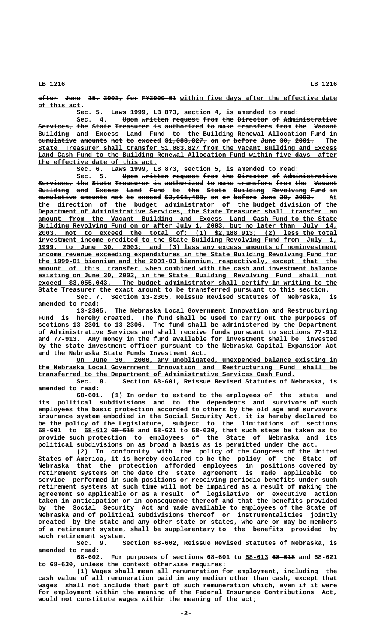**after June 15, 2001, for FY2000-01 within five days after the effective date ————— ———— ——— ————— ——— ————————— \_\_\_\_\_\_\_\_\_\_\_\_\_\_\_\_\_\_\_\_\_\_\_\_\_\_\_\_\_\_\_\_\_\_\_\_\_\_\_\_\_ \_\_\_\_\_\_\_\_\_\_\_ of this act.**

**Sec. 5. Laws 1999, LB 873, section 4, is amended to read:**

Sec. 4. Upon written request from the Director of Administrative  $S$ ervices, the State Treasurer is authorized to make transfers from the Vacant Building and Excess Land Fund to the Building Renewal Allocation Fund in **cumulative amounts not to exceed \$1,083,827, on or before June 30, 2001.** The  **\_\_\_\_\_\_\_\_\_\_\_\_\_\_\_\_\_\_\_\_\_\_\_\_\_\_\_\_\_\_\_\_\_\_\_\_\_\_\_\_\_\_\_\_\_\_\_\_\_\_\_\_\_\_\_\_\_\_\_\_\_\_\_\_\_\_\_\_\_\_\_\_\_\_\_\_\_\_ State Treasurer shall transfer \$1,083,827 from the Vacant Building and Excess \_\_\_\_\_\_\_\_\_\_\_\_\_\_\_\_\_\_\_\_\_\_\_\_\_\_\_\_\_\_\_\_\_\_\_\_\_\_\_\_\_\_\_\_\_\_\_\_\_\_\_\_\_\_\_\_\_\_\_\_\_\_\_\_\_\_\_\_\_\_\_\_\_\_\_\_\_\_ Land Cash Fund to the Building Renewal Allocation Fund within five days after \_\_\_\_\_\_\_\_\_\_\_\_\_\_\_\_\_\_\_\_\_\_\_\_\_\_\_\_\_\_\_ the effective date of this act.**

**Sec. 6. Laws 1999, LB 873, section 5, is amended to read:**

Sec. 5. <del>Upon written request from the Director</del> <del>of Administrative</del>  $S$ ervices, the State Treasurer is authorized to make transfers from the Vacant Building and Excess Land Fund to the State Building Revolving Fund in cumulative amounts not to exceed  $\frac{2}{7}$ ,661,488, on or before June 30, 2003. At  **\_\_\_\_\_\_\_\_\_\_\_\_\_\_\_\_\_\_\_\_\_\_\_\_\_\_\_\_\_\_\_\_\_\_\_\_\_\_\_\_\_\_\_\_\_\_\_\_\_\_\_\_\_\_\_\_\_\_\_\_\_\_\_\_\_\_\_\_\_\_\_\_\_\_\_\_\_\_ the direction of the budget administrator of the budget division of the \_\_\_\_\_\_\_\_\_\_\_\_\_\_\_\_\_\_\_\_\_\_\_\_\_\_\_\_\_\_\_\_\_\_\_\_\_\_\_\_\_\_\_\_\_\_\_\_\_\_\_\_\_\_\_\_\_\_\_\_\_\_\_\_\_\_\_\_\_\_\_\_\_\_\_\_\_\_ Department of Administrative Services, the State Treasurer shall transfer an \_\_\_\_\_\_\_\_\_\_\_\_\_\_\_\_\_\_\_\_\_\_\_\_\_\_\_\_\_\_\_\_\_\_\_\_\_\_\_\_\_\_\_\_\_\_\_\_\_\_\_\_\_\_\_\_\_\_\_\_\_\_\_\_\_\_\_\_\_\_\_\_\_\_\_\_\_\_ amount from the Vacant Building and Excess Land Cash Fund to the State** Building Revolving Fund on or after July 1, 2003, but no later than July 14,  **\_\_\_\_\_\_\_\_\_\_\_\_\_\_\_\_\_\_\_\_\_\_\_\_\_\_\_\_\_\_\_\_\_\_\_\_\_\_\_\_\_\_\_\_\_\_\_\_\_\_\_\_\_\_\_\_\_\_\_\_\_\_\_\_\_\_\_\_\_\_\_\_\_\_\_\_\_\_ 2003, not to exceed the total of: (1) \$2,188,913; (2) less the total \_\_\_\_\_\_\_\_\_\_\_\_\_\_\_\_\_\_\_\_\_\_\_\_\_\_\_\_\_\_\_\_\_\_\_\_\_\_\_\_\_\_\_\_\_\_\_\_\_\_\_\_\_\_\_\_\_\_\_\_\_\_\_\_\_\_\_\_\_\_\_\_\_\_\_\_\_\_ investment income credited to the State Building Revolving Fund from July 1, \_\_\_\_\_\_\_\_\_\_\_\_\_\_\_\_\_\_\_\_\_\_\_\_\_\_\_\_\_\_\_\_\_\_\_\_\_\_\_\_\_\_\_\_\_\_\_\_\_\_\_\_\_\_\_\_\_\_\_\_\_\_\_\_\_\_\_\_\_\_\_\_\_\_\_\_\_\_ 1999, to June 30, 2003; and (3) less any excess amounts of noninvestment \_\_\_\_\_\_\_\_\_\_\_\_\_\_\_\_\_\_\_\_\_\_\_\_\_\_\_\_\_\_\_\_\_\_\_\_\_\_\_\_\_\_\_\_\_\_\_\_\_\_\_\_\_\_\_\_\_\_\_\_\_\_\_\_\_\_\_\_\_\_\_\_\_\_\_\_\_\_ income revenue exceeding expenditures in the State Building Revolving Fund for \_\_\_\_\_\_\_\_\_\_\_\_\_\_\_\_\_\_\_\_\_\_\_\_\_\_\_\_\_\_\_\_\_\_\_\_\_\_\_\_\_\_\_\_\_\_\_\_\_\_\_\_\_\_\_\_\_\_\_\_\_\_\_\_\_\_\_\_\_\_\_\_\_\_\_\_\_\_ the 1999-01 biennium and the 2001-03 biennium, respectively, except that the** amount of this transfer when combined with the cash and investment balance **existing on June 30, 2003, in the State Building Revolving Fund shall not \_\_\_\_\_\_\_\_\_\_\_\_\_\_\_\_\_\_\_\_\_\_\_\_\_\_\_\_\_\_\_\_\_\_\_\_\_\_\_\_\_\_\_\_\_\_\_\_\_\_\_\_\_\_\_\_\_\_\_\_\_\_\_\_\_\_\_\_\_\_\_\_\_\_\_\_\_\_ exceed \$3,055,043. The budget administrator shall certify in writing to the \_\_\_\_\_\_\_\_\_\_\_\_\_\_\_\_\_\_\_\_\_\_\_\_\_\_\_\_\_\_\_\_\_\_\_\_\_\_\_\_\_\_\_\_\_\_\_\_\_\_\_\_\_\_\_\_\_\_\_\_\_\_\_\_\_\_\_\_\_\_\_\_\_\_\_\_ State Treasurer the exact amount to be transferred pursuant to this section.**

**Sec. 7. Section 13-2305, Reissue Revised Statutes of Nebraska, is amended to read:**

**13-2305. The Nebraska Local Government Innovation and Restructuring Fund is hereby created. The fund shall be used to carry out the purposes of sections 13-2301 to 13-2306. The fund shall be administered by the Department of Administrative Services and shall receive funds pursuant to sections 77-912 and 77-913. Any money in the fund available for investment shall be invested by the state investment officer pursuant to the Nebraska Capital Expansion Act and the Nebraska State Funds Investment Act.**

 **\_\_\_\_\_\_\_\_\_\_\_\_\_\_\_\_\_\_\_\_\_\_\_\_\_\_\_\_\_\_\_\_\_\_\_\_\_\_\_\_\_\_\_\_\_\_\_\_\_\_\_\_\_\_\_\_\_\_\_\_\_\_\_\_\_\_\_\_ On June 30, 2000, any unobligated, unexpended balance existing in \_\_\_\_\_\_\_\_\_\_\_\_\_\_\_\_\_\_\_\_\_\_\_\_\_\_\_\_\_\_\_\_\_\_\_\_\_\_\_\_\_\_\_\_\_\_\_\_\_\_\_\_\_\_\_\_\_\_\_\_\_\_\_\_\_\_\_\_\_\_\_\_\_\_\_\_\_\_ the Nebraska Local Government Innovation and Restructuring Fund shall be \_\_\_\_\_\_\_\_\_\_\_\_\_\_\_\_\_\_\_\_\_\_\_\_\_\_\_\_\_\_\_\_\_\_\_\_\_\_\_\_\_\_\_\_\_\_\_\_\_\_\_\_\_\_\_\_\_\_\_\_\_\_\_\_\_\_\_ transferred to the Department of Administrative Services Cash Fund.**

**Sec. 8. Section 68-601, Reissue Revised Statutes of Nebraska, is amended to read:**

**68-601. (1) In order to extend to the employees of the state and its political subdivisions and to the dependents and survivors of such employees the basic protection accorded to others by the old age and survivors insurance system embodied in the Social Security Act, it is hereby declared to be the policy of the Legislature, subject to the limitations of sections \_\_\_\_\_\_ —————— 68-601 to 68-613 68-618 and 68-621 to 68-630, that such steps be taken as to provide such protection to employees of the State of Nebraska and its political subdivisions on as broad a basis as is permitted under the act.**

**(2) In conformity with the policy of the Congress of the United States of America, it is hereby declared to be the policy of the State of Nebraska that the protection afforded employees in positions covered by retirement systems on the date the state agreement is made applicable to service performed in such positions or receiving periodic benefits under such retirement systems at such time will not be impaired as a result of making the agreement so applicable or as a result of legislative or executive action taken in anticipation or in consequence thereof and that the benefits provided by the Social Security Act and made available to employees of the State of Nebraska and of political subdivisions thereof or instrumentalities jointly created by the state and any other state or states, who are or may be members of a retirement system, shall be supplementary to the benefits provided by** such retirement system.<br>Sec. 9. S

Section 68-602, Reissue Revised Statutes of Nebraska, is **amended to read:**

**68-602. For purposes of sections 68-601 to 68-613 68-618 and 68-621 \_\_\_\_\_\_ ————— to 68-630, unless the context otherwise requires:**

**(1) Wages shall mean all remuneration for employment, including the cash value of all remuneration paid in any medium other than cash, except that wages shall not include that part of such remuneration which, even if it were for employment within the meaning of the Federal Insurance Contributions Act, would not constitute wages within the meaning of the act;**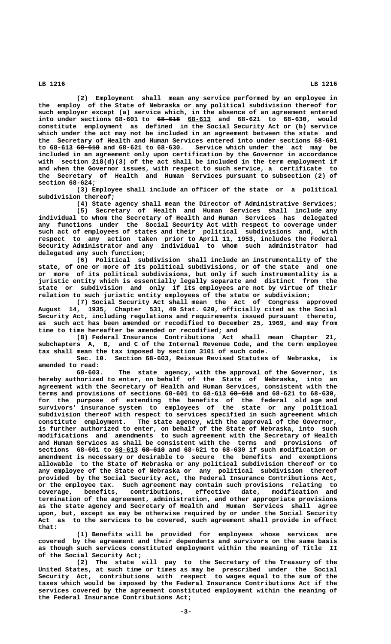**(2) Employment shall mean any service performed by an employee in the employ of the State of Nebraska or any political subdivision thereof for such employer except (a) service which, in the absence of an agreement entered —————— \_\_\_\_\_\_ into under sections 68-601 to 68-618 68-613 and 68-621 to 68-630, would constitute employment as defined in the Social Security Act or (b) service which under the act may not be included in an agreement between the state and the Secretary of Health and Human Services entered into under sections 68-601 \_\_\_\_\_\_ —————— to 68-613 68-618 and 68-621 to 68-630. Service which under the act may be included in an agreement only upon certification by the Governor in accordance with section 218(d)(3) of the act shall be included in the term employment if and when the Governor issues, with respect to such service, a certificate to the Secretary of Health and Human Services pursuant to subsection (2) of section 68-624;**

**(3) Employee shall include an officer of the state or a political subdivision thereof;**

**(4) State agency shall mean the Director of Administrative Services;**

**(5) Secretary of Health and Human Services shall include any individual to whom the Secretary of Health and Human Services has delegated any functions under the Social Security Act with respect to coverage under such act of employees of states and their political subdivisions and, with respect to any action taken prior to April 11, 1953, includes the Federal Security Administrator and any individual to whom such administrator had delegated any such function;**

**(6) Political subdivision shall include an instrumentality of the state, of one or more of its political subdivisions, or of the state and one or more of its political subdivisions, but only if such instrumentality is a juristic entity which is essentially legally separate and distinct from the state or subdivision and only if its employees are not by virtue of their relation to such juristic entity employees of the state or subdivision;**

**(7) Social Security Act shall mean the Act of Congress approved August 14, 1935, Chapter 531, 49 Stat. 620, officially cited as the Social Security Act, including regulations and requirements issued pursuant thereto, as such act has been amended or recodified to December 25, 1969, and may from time to time hereafter be amended or recodified; and**

**(8) Federal Insurance Contributions Act shall mean Chapter 21, subchapters A, B, and C of the Internal Revenue Code, and the term employee tax shall mean the tax imposed by section 3101 of such code.**

**Sec. 10. Section 68-603, Reissue Revised Statutes of Nebraska, is amended to read:**

**68-603. The state agency, with the approval of the Governor, is hereby authorized to enter, on behalf of the State of Nebraska, into an agreement with the Secretary of Health and Human Services, consistent with the \_\_\_\_\_\_ —————— terms and provisions of sections 68-601 to 68-613 68-618 and 68-621 to 68-630, for the purpose of extending the benefits of the federal old age and survivors' insurance system to employees of the state or any political subdivision thereof with respect to services specified in such agreement which constitute employment. The state agency, with the approval of the Governor, is further authorized to enter, on behalf of the State of Nebraska, into such modifications and amendments to such agreement with the Secretary of Health and Human Services as shall be consistent with the terms and provisions of \_\_\_\_\_\_ —————— sections 68-601 to 68-613 68-618 and 68-621 to 68-630 if such modification or amendment is necessary or desirable to secure the benefits and exemptions allowable to the State of Nebraska or any political subdivision thereof or to any employee of the State of Nebraska or any political subdivision thereof provided by the Social Security Act, the Federal Insurance Contributions Act, or the employee tax. Such agreement may contain such provisions relating to coverage, benefits, contributions, effective date, modification and termination of the agreement, administration, and other appropriate provisions as the state agency and Secretary of Health and Human Services shall agree upon, but, except as may be otherwise required by or under the Social Security Act as to the services to be covered, such agreement shall provide in effect that:**

**(1) Benefits will be provided for employees whose services are covered by the agreement and their dependents and survivors on the same basis as though such services constituted employment within the meaning of Title II of the Social Security Act;**

**(2) The state will pay to the Secretary of the Treasury of the United States, at such time or times as may be prescribed under the Social Security Act, contributions with respect to wages equal to the sum of the taxes which would be imposed by the Federal Insurance Contributions Act if the services covered by the agreement constituted employment within the meaning of the Federal Insurance Contributions Act;**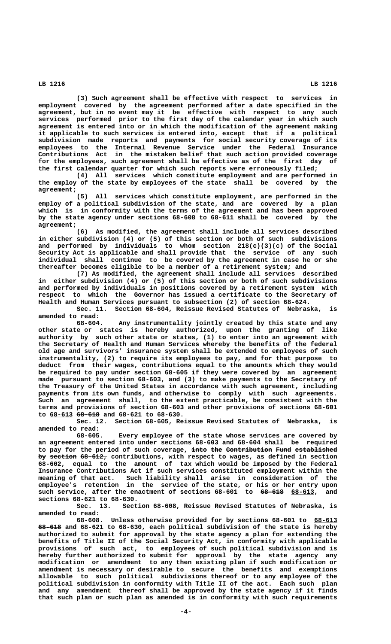**(3) Such agreement shall be effective with respect to services in employment covered by the agreement performed after a date specified in the agreement, but in no event may it be effective with respect to any such services performed prior to the first day of the calendar year in which such agreement is entered into or in which the modification of the agreement making it applicable to such services is entered into, except that if a political subdivision made reports and payments for social security coverage of its employees to the Internal Revenue Service under the Federal Insurance Contributions Act in the mistaken belief that such action provided coverage for the employees, such agreement shall be effective as of the first day of the first calendar quarter for which such reports were erroneously filed;**

**(4) All services which constitute employment and are performed in the employ of the state by employees of the state shall be covered by the agreement;**

**(5) All services which constitute employment, are performed in the employ of a political subdivision of the state, and are covered by a plan which is in conformity with the terms of the agreement and has been approved by the state agency under sections 68-608 to 68-611 shall be covered by the**

agreement;<br>(6) **(6) As modified, the agreement shall include all services described in either subdivision (4) or (5) of this section or both of such subdivisions and performed by individuals to whom section 218(c)(3)(c) of the Social Security Act is applicable and shall provide that the service of any such individual shall continue to be covered by the agreement in case he or she thereafter becomes eligible to be a member of a retirement system; and**

**(7) As modified, the agreement shall include all services described in either subdivision (4) or (5) of this section or both of such subdivisions and performed by individuals in positions covered by a retirement system with respect to which the Governor has issued a certificate to the Secretary of Health and Human Services pursuant to subsection (2) of section 68-624.**

Sec. 11. Section 68-604, Reissue Revised Statutes of Nebraska, **amended to read:**

**68-604. Any instrumentality jointly created by this state and any other state or states is hereby authorized, upon the granting of like authority by such other state or states, (1) to enter into an agreement with the Secretary of Health and Human Services whereby the benefits of the federal old age and survivors' insurance system shall be extended to employees of such instrumentality, (2) to require its employees to pay, and for that purpose to deduct from their wages, contributions equal to the amounts which they would be required to pay under section 68-605 if they were covered by an agreement made pursuant to section 68-603, and (3) to make payments to the Secretary of the Treasury of the United States in accordance with such agreement, including payments from its own funds, and otherwise to comply with such agreements. Such an agreement shall, to the extent practicable, be consistent with the terms and provisions of section 68-603 and other provisions of sections 68-601 \_\_\_\_\_\_ —————— to 68-613 68-618 and 68-621 to 68-630.**

**Sec. 12. Section 68-605, Reissue Revised Statutes of Nebraska, is amended to read:**

**68-605. Every employee of the state whose services are covered by an agreement entered into under sections 68-603 and 68-604 shall be required** to pay for the period of such coverage, <del>into the Contribution Fund established</del> by section 68-612, contributions, with respect to wages, as defined in section **68-602, equal to the amount of tax which would be imposed by the Federal Insurance Contributions Act if such services constituted employment within the meaning of that act. Such liability shall arise in consideration of the employee's retention in the service of the state, or his or her entry upon** such service, after the enactment of sections  $68-601$  to  $68-618$   $68-613$ , and **sections 68-621 to 68-630.**

**Sec. 13. Section 68-608, Reissue Revised Statutes of Nebraska, is amended to read:**

**68-608. Unless otherwise provided for by sections 68-601 to 68-613 \_\_\_\_\_\_ —————— 68-618 and 68-621 to 68-630, each political subdivision of the state is hereby authorized to submit for approval by the state agency a plan for extending the benefits of Title II of the Social Security Act, in conformity with applicable provisions of such act, to employees of such political subdivision and is hereby further authorized to submit for approval by the state agency any modification or amendment to any then existing plan if such modification or amendment is necessary or desirable to secure the benefits and exemptions allowable to such political subdivisions thereof or to any employee of the political subdivision in conformity with Title II of the act. Each such plan and any amendment thereof shall be approved by the state agency if it finds that such plan or such plan as amended is in conformity with such requirements**

 **LB 1216 LB 1216**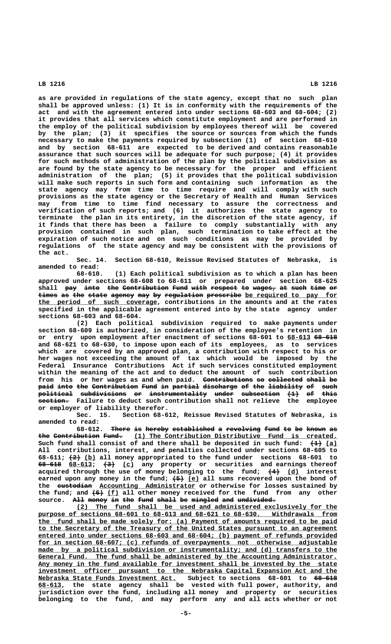**as are provided in regulations of the state agency, except that no such plan shall be approved unless: (1) It is in conformity with the requirements of the act and with the agreement entered into under sections 68-603 and 68-604; (2) it provides that all services which constitute employment and are performed in the employ of the political subdivision by employees thereof will be covered by the plan; (3) it specifies the source or sources from which the funds necessary to make the payments required by subsection (1) of section 68-610 and by section 68-611 are expected to be derived and contains reasonable assurance that such sources will be adequate for such purpose; (4) it provides for such methods of administration of the plan by the political subdivision as are found by the state agency to be necessary for the proper and efficient administration of the plan; (5) it provides that the political subdivision will make such reports in such form and containing such information as the state agency may from time to time require and will comply with such provisions as the state agency or the Secretary of Health and Human Services may from time to time find necessary to assure the correctness and verification of such reports; and (6) it authorizes the state agency to terminate the plan in its entirety, in the discretion of the state agency, if it finds that there has been a failure to comply substantially with any provision contained in such plan, such termination to take effect at the expiration of such notice and on such conditions as may be provided by regulations of the state agency and may be consistent with the provisions of the act.**

**Sec. 14. Section 68-610, Reissue Revised Statutes of Nebraska, is amended to read:**

**68-610. (1) Each political subdivision as to which a plan has been approved under sections 68-608 to 68-611 or prepared under section 68-625** shall pay into the Contribution Fund with respect to wages<sub>7</sub> at such time or times as the state agency may by regulation prescribe be required to pay for  **\_\_\_\_\_\_\_\_\_\_\_\_\_\_\_\_\_\_\_\_\_\_\_\_\_\_\_\_\_\_\_ the period of such coverage, contributions in the amounts and at the rates specified in the applicable agreement entered into by the state agency under sections 68-603 and 68-604.**

**(2) Each political subdivision required to make payments under section 68-609 is authorized, in consideration of the employee's retention in** or entry upon employment after enactment of sections  $68-601$  to  $68-613$   $68-618$ **and 68-621 to 68-630, to impose upon each of its employees, as to services which are covered by an approved plan, a contribution with respect to his or her wages not exceeding the amount of tax which would be imposed by the Federal Insurance Contributions Act if such services constituted employment within the meaning of the act and to deduct the amount of such contribution from his or her wages as and when paid. Contributions so collected shall be ————————————— —— ————————— ————— — paid into the Contribution Fund in partial discharge of the liability of such ———— ———— ——— ———————————— ———— —— ——————— ————————— —— ——— ————————— —— ——— political subdivisions or instrumentality under subsection (1) of this ————————— ———————————— —— ——————————————— ————— —————————— ——— —— ———— ———————— section. Failure to deduct such contribution shall not relieve the employee or employer of liability therefor.**

**Sec. 15. Section 68-612, Reissue Revised Statutes of Nebraska, is amended to read:**

**68-612.** There is hereby established a revolving fund to be known as the Contribution Fund. (1) The Contribution Distributive Fund is created. Such fund shall consist of and there shall be deposited in such fund:  $\left(\frac{1}{2}\right)$  (a) **All contributions, interest, and penalties collected under sections 68-605 to ——— \_\_\_ 68-611; (2) (b) all money appropriated to the fund under sections 68-601 to —————— \_\_\_\_\_\_ ——— \_\_\_ 68-618 68-613; (3) (c) any property or securities and earnings thereof** acquired through the use of money belonging to the fund;  $\left(4\right)$  (d) interest earned upon any money in the fund;  $\leftarrow 5$  (e) all sums recovered upon the bond of the **eustodian** Accounting Administrator or otherwise for losses sustained by the fund; and  $\left(6\right)$  (f) all other money received for the fund from any other source. All money in the fund shall be mingled and undivided.

 **\_\_\_\_\_\_\_\_\_\_\_\_\_\_\_\_\_\_\_\_\_\_\_\_\_\_\_\_\_\_\_\_\_\_\_\_\_\_\_\_\_\_\_\_\_\_\_\_\_\_\_\_\_\_\_\_\_\_\_\_\_\_\_\_\_\_\_\_ (2) The fund shall be used and administered exclusively for the \_\_\_\_\_\_\_\_\_\_\_\_\_\_\_\_\_\_\_\_\_\_\_\_\_\_\_\_\_\_\_\_\_\_\_\_\_\_\_\_\_\_\_\_\_\_\_\_\_\_\_\_\_\_\_\_\_\_\_\_\_\_\_\_\_\_\_\_\_\_\_\_\_\_\_\_\_\_ purpose of sections 68-601 to 68-613 and 68-621 to 68-630. Withdrawals from \_\_\_\_\_\_\_\_\_\_\_\_\_\_\_\_\_\_\_\_\_\_\_\_\_\_\_\_\_\_\_\_\_\_\_\_\_\_\_\_\_\_\_\_\_\_\_\_\_\_\_\_\_\_\_\_\_\_\_\_\_\_\_\_\_\_\_\_\_\_\_\_\_\_\_\_\_\_ the fund shall be made solely for: (a) Payment of amounts required to be paid \_\_\_\_\_\_\_\_\_\_\_\_\_\_\_\_\_\_\_\_\_\_\_\_\_\_\_\_\_\_\_\_\_\_\_\_\_\_\_\_\_\_\_\_\_\_\_\_\_\_\_\_\_\_\_\_\_\_\_\_\_\_\_\_\_\_\_\_\_\_\_\_\_\_\_\_\_\_ to the Secretary of the Treasury of the United States pursuant to an agreement \_\_\_\_\_\_\_\_\_\_\_\_\_\_\_\_\_\_\_\_\_\_\_\_\_\_\_\_\_\_\_\_\_\_\_\_\_\_\_\_\_\_\_\_\_\_\_\_\_\_\_\_\_\_\_\_\_\_\_\_\_\_\_\_\_\_\_\_\_\_\_\_\_\_\_\_\_\_ entered into under sections 68-603 and 68-604; (b) payment of refunds provided \_\_\_\_\_\_\_\_\_\_\_\_\_\_\_\_\_\_\_\_\_\_\_\_\_\_\_\_\_\_\_\_\_\_\_\_\_\_\_\_\_\_\_\_\_\_\_\_\_\_\_\_\_\_\_\_\_\_\_\_\_\_\_\_\_\_\_\_\_\_\_\_\_\_\_\_\_\_ for in section 68-607; (c) refunds of overpayments not otherwise adjustable**  $\texttt{made}$  by a political subdivision or instrumentality; and (d) transfers to the  **\_\_\_\_\_\_\_\_\_\_\_\_\_\_\_\_\_\_\_\_\_\_\_\_\_\_\_\_\_\_\_\_\_\_\_\_\_\_\_\_\_\_\_\_\_\_\_\_\_\_\_\_\_\_\_\_\_\_\_\_\_\_\_\_\_\_\_\_\_\_\_\_\_\_\_\_\_\_ General Fund. The fund shall be administered by the Accounting Administrator. \_\_\_\_\_\_\_\_\_\_\_\_\_\_\_\_\_\_\_\_\_\_\_\_\_\_\_\_\_\_\_\_\_\_\_\_\_\_\_\_\_\_\_\_\_\_\_\_\_\_\_\_\_\_\_\_\_\_\_\_\_\_\_\_\_\_\_\_\_\_\_\_\_\_\_\_\_\_ Any money in the fund available for investment shall be invested by the state**  $\frac{1}{2}$  investment officer pursuant to the Nebraska Capital Expansion Act and the  **\_\_\_\_\_\_\_\_\_\_\_\_\_\_\_\_\_\_\_\_\_\_\_\_\_\_\_\_\_\_\_\_\_\_\_\_ —————— Nebraska State Funds Investment Act. Subject to sections 68-601 to 68-618 \_\_\_\_\_\_ 68-613, the state agency shall be vested with full power, authority, and jurisdiction over the fund, including all money and property or securities belonging to the fund, and may perform any and all acts whether or not**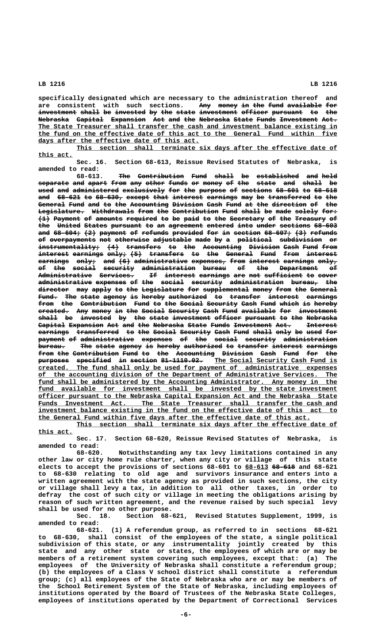**specifically designated which are necessary to the administration thereof and** are consistent with such sections. Any money in the fund available for investment shall be invested by the state investment officer pursuant to the

**Nebraska Capital Expansion Act and the Nebraska State Funds Investment Act. ———————— ——————— ————————— ——— ——— ——— ———————— ————— ————— —————————— ———— \_\_\_\_\_\_\_\_\_\_\_\_\_\_\_\_\_\_\_\_\_\_\_\_\_\_\_\_\_\_\_\_\_\_\_\_\_\_\_\_\_\_\_\_\_\_\_\_\_\_\_\_\_\_\_\_\_\_\_\_\_\_\_\_\_\_\_\_\_\_\_\_\_\_\_\_\_\_ The State Treasurer shall transfer the cash and investment balance existing in \_\_\_\_\_\_\_\_\_\_\_\_\_\_\_\_\_\_\_\_\_\_\_\_\_\_\_\_\_\_\_\_\_\_\_\_\_\_\_\_\_\_\_\_\_\_\_\_\_\_\_\_\_\_\_\_\_\_\_\_\_\_\_\_\_\_\_\_\_\_\_\_\_\_\_\_\_\_ the fund on the effective date of this act to the General Fund within five** days after the effective date of this act.

This section shall terminate six days after the effective date of  **this act. \_\_\_\_\_\_\_\_\_**

**Sec. 16. Section 68-613, Reissue Revised Statutes of Nebraska, is amended to read:**

 $\frac{1}{\sqrt{1-\frac{1}{\sqrt{1-\frac{1}{\sqrt{1-\frac{1}{\sqrt{1-\frac{1}{\sqrt{1-\frac{1}{\sqrt{1-\frac{1}{\sqrt{1-\frac{1}{\sqrt{1-\frac{1}{\sqrt{1-\frac{1}{\sqrt{1-\frac{1}{\sqrt{1-\frac{1}{\sqrt{1-\frac{1}{\sqrt{1-\frac{1}{\sqrt{1-\frac{1}{\sqrt{1-\frac{1}{\sqrt{1-\frac{1}{\sqrt{1-\frac{1}{\sqrt{1-\frac{1}{\sqrt{1-\frac{1}{\sqrt{1-\frac{1}{\sqrt{1-\frac{1}{\sqrt{1-\frac{1}{\sqrt{1-\frac{1}{\sqrt{1-\frac{1}{$  $\epsilon$  separate and apart from any other funds or money of the state and shall be used and administered exclusively for the purpose of sections 68-601 to 68-618 and 68-621 to 68-630, except that interest earnings may be transferred to the General Fund and to the Accounting Division Cash Fund at the direction of the Legislature. Withdrawals from the Contribution Fund shall be made solely for: **(1) Payment of amounts required to be paid to the Secretary of the Treasury of ——— ——————— —— ——————— ———————— —— —— ———— —— ——— ————————— —— ——— ———————— —** the United States pursuant to an agreement entered into under sections 68-603 and 68-604; (2) payment of refunds provided for in section 68-607; (3) refunds **of overpayments not otherwise adjustable made by a political subdivision or —— ———————————— ——— ————————— —————————— ———— —— — ————————— ——————————— —** instrumentality; (4) transfers to the Accounting Division Cash Fund from interest earnings only;  $(5)$  transfers to the General Fund from interest  $\overline{\textbf{earnings}}$  <del>only,</del> a<del>nd (6)</del> administrative expenses, from interest earnings only, **of the social security administration bureau of the Department of —— ——— —————— ———————— —————————————— —————— —— ——— —————————— ——** Administrative Services. If interest earnings are not sufficient to cover administrative expenses of the social security administration bureau, the director may apply to the Legislature for supplemental money from the General Fund. The state agency is hereby authorized to transfer interest earnings from the Contribution Fund to the Social Security Cash Fund which is hereby created. Any money in the Social Security Cash Fund available for investment  $\boldsymbol{\mathrm{shall}}$  be invested by the state investment officer pursuant to the Nebraska Capital Expansion Act and the Nebraska State Funds Investment Act. **Interest** earnings transferred to the Social Security Cash Fund shall only be used for **payment of administrative expenses of the social security administration ——————— —— —————————————— ———————— —— ——— —————— ———————— ————————————— bureau. The state agency is hereby authorized to transfer interest earnings ——————— ——— ————— —————— —— —————— —————————— —— ———————— ———————— ——————— from the Contribution Fund to the Accounting Division Cash Fund for the ———— ——— ———————————— ———— —— ——— —————————— ———————— ———— ———— ——— —— purposes** specified in section 81-1110.02. The Social Security Cash Fund is  **\_\_\_\_\_\_\_\_\_\_\_\_\_\_\_\_\_\_\_\_\_\_\_\_\_\_\_\_\_\_\_\_\_\_\_\_\_\_\_\_\_\_\_\_\_\_\_\_\_\_\_\_\_\_\_\_\_\_\_\_\_\_\_\_\_\_\_\_\_\_\_\_\_\_\_\_\_\_ created. The fund shall only be used for payment of administrative expenses \_\_\_\_\_\_\_\_\_\_\_\_\_\_\_\_\_\_\_\_\_\_\_\_\_\_\_\_\_\_\_\_\_\_\_\_\_\_\_\_\_\_\_\_\_\_\_\_\_\_\_\_\_\_\_\_\_\_\_\_\_\_\_\_\_\_\_\_\_\_\_\_\_\_\_\_\_\_ of the accounting division of the Department of Administrative Services. The** fund shall be administered by the Accounting Administrator. Any money in the fund available for investment shall be invested by the state investment  **\_\_\_\_\_\_\_\_\_\_\_\_\_\_\_\_\_\_\_\_\_\_\_\_\_\_\_\_\_\_\_\_\_\_\_\_\_\_\_\_\_\_\_\_\_\_\_\_\_\_\_\_\_\_\_\_\_\_\_\_\_\_\_\_\_\_\_\_\_\_\_\_\_\_\_\_\_\_ officer pursuant to the Nebraska Capital Expansion Act and the Nebraska State** Funds Investment Act. The State Treasurer shall transfer the cash and  **\_\_\_\_\_\_\_\_\_\_\_\_\_\_\_\_\_\_\_\_\_\_\_\_\_\_\_\_\_\_\_\_\_\_\_\_\_\_\_\_\_\_\_\_\_\_\_\_\_\_\_\_\_\_\_\_\_\_\_\_\_\_\_\_\_\_\_\_\_\_\_\_\_\_\_\_\_\_ investment balance existing in the fund on the effective date of this act to \_\_\_\_\_\_\_\_\_\_\_\_\_\_\_\_\_\_\_\_\_\_\_\_\_\_\_\_\_\_\_\_\_\_\_\_\_\_\_\_\_\_\_\_\_\_\_\_\_\_\_\_\_\_\_\_\_\_\_\_\_\_\_\_\_\_\_\_\_\_\_ the General Fund within five days after the effective date of this act.**

This section shall terminate six days after the effective date of  **this act. \_\_\_\_\_\_\_\_\_**

**Sec. 17. Section 68-620, Reissue Revised Statutes of Nebraska, is amended to read:**

**68-620. Notwithstanding any tax levy limitations contained in any other law or city home rule charter, when any city or village of this state elects to accept the provisions of sections 68-601 to 68-613 68-618 and 68-621 \_\_\_\_\_\_ ————— to 68-630 relating to old age and survivors insurance and enters into a written agreement with the state agency as provided in such sections, the city or village shall levy a tax, in addition to all other taxes, in order to defray the cost of such city or village in meeting the obligations arising by reason of such written agreement, and the revenue raised by such special levy shall be used for no other purpose.**

**Sec. 18. Section 68-621, Revised Statutes Supplement, 1999, is amended to read:**

**68-621. (1) A referendum group, as referred to in sections 68-621 to 68-630, shall consist of the employees of the state, a single political subdivision of this state, or any instrumentality jointly created by this state and any other state or states, the employees of which are or may be members of a retirement system covering such employees, except that: (a) The employees of the University of Nebraska shall constitute a referendum group; (b) the employees of a Class V school district shall constitute a referendum group; (c) all employees of the State of Nebraska who are or may be members of the School Retirement System of the State of Nebraska, including employees of institutions operated by the Board of Trustees of the Nebraska State Colleges, employees of institutions operated by the Department of Correctional Services**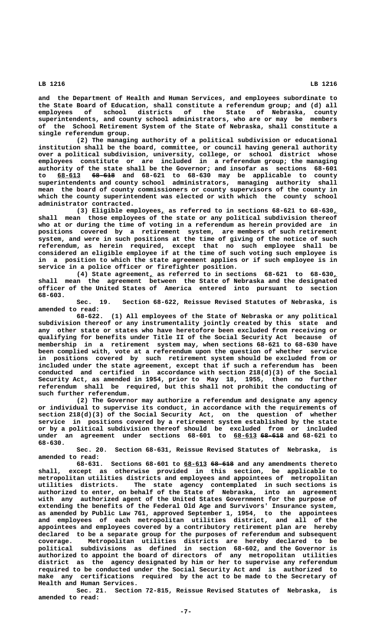**and the Department of Health and Human Services, and employees subordinate to the State Board of Education, shall constitute a referendum group; and (d) all employees of school districts of the State of Nebraska, county superintendents, and county school administrators, who are or may be members of the School Retirement System of the State of Nebraska, shall constitute a single referendum group.**

**(2) The managing authority of a political subdivision or educational institution shall be the board, committee, or council having general authority over a political subdivision, university, college, or school district whose employees constitute or are included in a referendum group; the managing authority of the state shall be the Governor; and insofar as sections 68-601 \_\_\_\_\_\_ —————— to 68-613 68-618 and 68-621 to 68-630 may be applicable to county superintendents and county school administrators, managing authority shall mean the board of county commissioners or county supervisors of the county in which the county superintendent was elected or with which the county school administrator contracted.**

 **\_ \_ (3) Eligible employees, as referred to in sections 68-621 to 68-630, shall mean those employees of the state or any political subdivision thereof who at or during the time of voting in a referendum as herein provided are in positions covered by a retirement system, are members of such retirement system, and were in such positions at the time of giving of the notice of such referendum, as herein required, except that no such employee shall be considered an eligible employee if at the time of such voting such employee is in a position to which the state agreement applies or if such employee is in service in a police officer or firefighter position.**

 **\_ \_ (4) State agreement, as referred to in sections 68-621 to 68-630, shall mean the agreement between the State of Nebraska and the designated officer of the United States of America entered into pursuant to section 68-603.**

**Sec. 19. Section 68-622, Reissue Revised Statutes of Nebraska, is amended to read:**

**68-622. (1) All employees of the State of Nebraska or any political subdivision thereof or any instrumentality jointly created by this state and any other state or states who have heretofore been excluded from receiving or qualifying for benefits under Title II of the Social Security Act because of membership in a retirement system may, when sections 68-621 to 68-630 have been complied with, vote at a referendum upon the question of whether service in positions covered by such retirement system should be excluded from or included under the state agreement, except that if such a referendum has been conducted and certified in accordance with section 218(d)(3) of the Social Security Act, as amended in 1954, prior to May 18, 1955, then no further referendum shall be required, but this shall not prohibit the conducting of such further referendum.**

**(2) The Governor may authorize a referendum and designate any agency or individual to supervise its conduct, in accordance with the requirements of section 218(d)(3) of the Social Security Act, on the question of whether service in positions covered by a retirement system established by the state or by a political subdivision thereof should be excluded from or included** under an agreement under sections 68-601 to 68-613 68-618 and 68-621 to  **68-630.**

**Sec. 20. Section 68-631, Reissue Revised Statutes of Nebraska, is amended to read:**

 **\_\_\_\_\_\_ —————— 68-631. Sections 68-601 to 68-613 68-618 and any amendments thereto shall, except as otherwise provided in this section, be applicable to metropolitan utilities districts and employees and appointees of metropolitan utilities districts. The state agency contemplated in such sections is authorized to enter, on behalf of the State of Nebraska, into an agreement with any authorized agent of the United States Government for the purpose of extending the benefits of the Federal Old Age and Survivors' Insurance system, as amended by Public Law 761, approved September 1, 1954, to the appointees and employees of each metropolitan utilities district, and all of the appointees and employees covered by a contributory retirement plan are hereby declared to be a separate group for the purposes of referendum and subsequent coverage. Metropolitan utilities districts are hereby declared to be political subdivisions as defined in section 68-602, and the Governor is authorized to appoint the board of directors of any metropolitan utilities district as the agency designated by him or her to supervise any referendum required to be conducted under the Social Security Act and is authorized to make any certifications required by the act to be made to the Secretary of Health and Human Services.**

> **Sec. 21. Section 72-815, Reissue Revised Statutes of Nebraska, is amended to read:**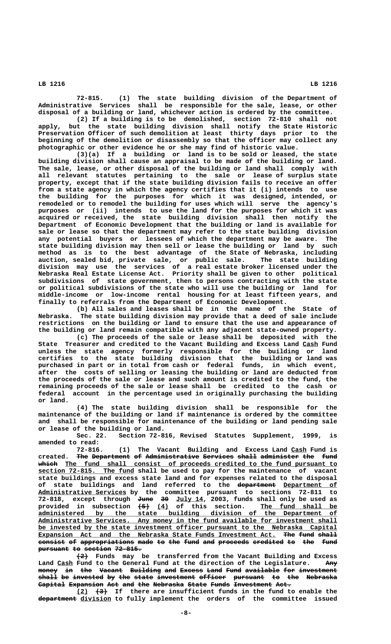**72-815. (1) The state building division of the Department of Administrative Services shall be responsible for the sale, lease, or other disposal of a building or land, whichever action is ordered by the committee.**

**(2) If a building is to be demolished, section 72-810 shall not apply, but the state building division shall notify the State Historic Preservation Officer of such demolition at least thirty days prior to the beginning of the demolition or disassembly so that the officer may collect any photographic or other evidence he or she may find of historic value.**

**(3)(a) If a building or land is to be sold or leased, the state building division shall cause an appraisal to be made of the building or land. The sale, lease, or other disposal of the building or land shall comply with all relevant statutes pertaining to the sale or lease of surplus state property, except that if the state building division fails to receive an offer from a state agency in which the agency certifies that it (i) intends to use the building for the purposes for which it was designed, intended, or remodeled or to remodel the building for uses which will serve the agency's purposes or (ii) intends to use the land for the purposes for which it was acquired or received, the state building division shall then notify the Department of Economic Development that the building or land is available for sale or lease so that the department may refer to the state building division any potential buyers or lessees of which the department may be aware. The state building division may then sell or lease the building or land by such method as is to the best advantage of the State of Nebraska, including auction, sealed bid, private sale, or public sale. The state building division may use the services of a real estate broker licensed under the Nebraska Real Estate License Act. Priority shall be given to other political subdivisions of state government, then to persons contracting with the state or political subdivisions of the state who will use the building or land for middle-income or low-income rental housing for at least fifteen years, and finally to referrals from the Department of Economic Development.**

**(b) All sales and leases shall be in the name of the State of Nebraska. The state building division may provide that a deed of sale include restrictions on the building or land to ensure that the use and appearance of the building or land remain compatible with any adjacent state-owned property.**

**(c) The proceeds of the sale or lease shall be deposited with the** State Treasurer and credited to the Vacant Building and Excess Land Cash Fund **unless the state agency formerly responsible for the building or land certifies to the state building division that the building or land was purchased in part or in total from cash or federal funds, in which event, after the costs of selling or leasing the building or land are deducted from the proceeds of the sale or lease and such amount is credited to the fund, the remaining proceeds of the sale or lease shall be credited to the cash or federal account in the percentage used in originally purchasing the building or land.**

**(4) The state building division shall be responsible for the maintenance of the building or land if maintenance is ordered by the committee and shall be responsible for maintenance of the building or land pending sale or lease of the building or land.**

**Sec. 22. Section 72-816, Revised Statutes Supplement, 1999, is amended to read:**

**72-816. (1) The Vacant Building and Excess Land Cash Fund is \_\_\_\_** created. The Department of Administrative Services shall administer the fund  **————— \_\_\_\_\_\_\_\_\_\_\_\_\_\_\_\_\_\_\_\_\_\_\_\_\_\_\_\_\_\_\_\_\_\_\_\_\_\_\_\_\_\_\_\_\_\_\_\_\_\_\_\_\_\_\_\_\_\_\_\_\_\_\_\_\_\_\_\_\_\_\_ which The fund shall consist of proceeds credited to the fund pursuant to \_\_\_\_\_\_\_\_\_\_\_\_\_\_\_\_\_\_\_\_\_\_\_\_\_ section 72-815. The fund shall be used to pay for the maintenance of vacant state buildings and excess state land and for expenses related to the disposal** of state buildings and land referred to the department Department of  **\_\_\_\_\_\_\_\_\_\_\_\_\_\_\_\_\_\_\_\_\_\_\_ Administrative Services by the committee pursuant to sections 72-811 to 72-818, except through June 30 July 14, 2003, funds shall only be used as ———— —— \_\_\_\_\_\_\_ ——— \_\_\_ \_\_\_\_\_\_\_\_\_\_\_\_\_\_\_\_\_\_\_\_ provided in subsection (5) (4) of this section. The fund shall be \_\_\_\_\_\_\_\_\_\_\_\_\_\_\_\_\_\_\_\_\_\_\_\_\_\_\_\_\_\_\_\_\_\_\_\_\_\_\_\_\_\_\_\_\_\_\_\_\_\_\_\_\_\_\_\_\_\_\_\_\_\_\_\_\_\_\_\_\_\_\_\_\_\_\_\_\_\_ administered by the state building division of the Department of** Administrative Services. Any money in the fund available for investment shall  **\_\_\_\_\_\_\_\_\_\_\_\_\_\_\_\_\_\_\_\_\_\_\_\_\_\_\_\_\_\_\_\_\_\_\_\_\_\_\_\_\_\_\_\_\_\_\_\_\_\_\_\_\_\_\_\_\_\_\_\_\_\_\_\_\_\_\_\_\_\_\_\_\_\_\_\_\_\_ be invested by the state investment officer pursuant to the Nebraska Capital** Expansion Act and the Nebraska State Funds Investment Act. The fund shall consist of appropriations made to the fund and proceeds credited to the fund pursuant to section 72-815.

 **——— (2) Funds may be transferred from the Vacant Building and Excess** Land Cash Fund to the General Fund at the direction of the Legislature. Any money in the Vacant Building and Excess Land Fund available for investment shall be invested by the state investment officer pursuant to the Nebraska Capital Expansion Act and the Nebraska State Funds Investment Act.

 **\_\_\_ ——— (2) (3) If there are insufficient funds in the fund to enable the —————————— \_\_\_\_\_\_\_\_ department division to fully implement the orders of the committee issued**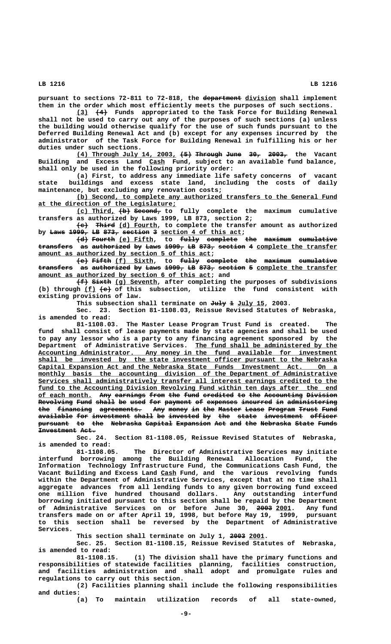**—————————— \_\_\_\_\_\_\_\_ pursuant to sections 72-811 to 72-818, the department division shall implement them in the order which most efficiently meets the purposes of such sections.**

 **\_\_\_ ——— (3) (4) Funds appropriated to the Task Force for Building Renewal shall not be used to carry out any of the purposes of such sections (a) unless the building would otherwise qualify for the use of such funds pursuant to the Deferred Building Renewal Act and (b) except for any expenses incurred by the administrator of the Task Force for Building Renewal in fulfilling his or her duties under such sections.**

**(4) Through July 14, 2003, (5) Through June 30, 2003, the Vacant \_\_\_\_\_\_\_\_\_\_\_\_\_\_\_\_\_\_\_\_\_\_\_\_\_\_ ——— ——————— ———— ——— ————— \_\_\_\_ Building and Excess Land Cash Fund, subject to an available fund balance, shall only be used in the following priority order:**

**(a) First, to address any immediate life safety concerns of vacant state buildings and excess state land, including the costs of daily maintenance, but excluding any renovation costs;**

 **\_\_\_\_\_\_\_\_\_\_\_\_\_\_\_\_\_\_\_\_\_\_\_\_\_\_\_\_\_\_\_\_\_\_\_\_\_\_\_\_\_\_\_\_\_\_\_\_\_\_\_\_\_\_\_\_\_\_\_\_\_\_\_\_\_\_\_\_ (b) Second, to complete any authorized transfers to the General Fund \_\_\_\_\_\_\_\_\_\_\_\_\_\_\_\_\_\_\_\_\_\_\_\_\_\_\_\_\_\_\_\_\_\_\_\_ at the direction of the Legislature;**

**(c) Third, (b) Second, to fully complete the maximum cumulative \_\_\_\_\_\_\_\_\_\_ ——— —————— transfers as authorized by Laws 1999, LB 873, section 2;**

 $\overline{\text{+e}}$  **Third** (d) Fourth, to complete the transfer amount as authorized by <del>Laws 1999, LB</del> 873, section 3 section 4 of this act;

 $\{\dfrac{d}{d}\}$  Fourth (e) Fifth, to fully complete the maximum cumulative transfers as authorized by Laws 1999, LB 873, section 4 complete the transfer amount as authorized by section 5 of this act;

**(e) Fifth (f) Sixth, to fully complete the maximum cumulative** transfers as authorized by Laws 1999, LB 873, section 5 complete the transfer amount as authorized by section 6 of this act; and

**(f) Sixth (g) Seventh, after completing the purposes of subdivisions ——— ————— \_\_\_\_\_\_\_\_\_\_\_ \_\_\_ ——— (b) through (f) (e) of this subsection, utilize the fund consistent with existing provisions of law.**

This subsection shall terminate on July 1 July 15, 2003.

**Sec. 23. Section 81-1108.03, Reissue Revised Statutes of Nebraska, is amended to read:**

**81-1108.03. The Master Lease Program Trust Fund is created. The fund shall consist of lease payments made by state agencies and shall be used to pay any lessor who is a party to any financing agreement sponsored by the \_\_\_\_\_\_\_\_\_\_\_\_\_\_\_\_\_\_\_\_\_\_\_\_\_\_\_\_\_\_\_\_\_\_\_\_\_ Department of Administrative Services. The fund shall be administered by the** Accounting Administrator. Any money in the fund available for investment  **\_\_\_\_\_\_\_\_\_\_\_\_\_\_\_\_\_\_\_\_\_\_\_\_\_\_\_\_\_\_\_\_\_\_\_\_\_\_\_\_\_\_\_\_\_\_\_\_\_\_\_\_\_\_\_\_\_\_\_\_\_\_\_\_\_\_\_\_\_\_\_\_\_\_\_\_\_\_ shall be invested by the state investment officer pursuant to the Nebraska \_\_\_\_\_\_\_\_\_\_\_\_\_\_\_\_\_\_\_\_\_\_\_\_\_\_\_\_\_\_\_\_\_\_\_\_\_\_\_\_\_\_\_\_\_\_\_\_\_\_\_\_\_\_\_\_\_\_\_\_\_\_\_\_\_\_\_\_\_\_\_\_\_\_\_\_\_\_ Capital Expansion Act and the Nebraska State Funds Investment Act. On a** monthly basis the accounting division of the Department of Administrative  **\_\_\_\_\_\_\_\_\_\_\_\_\_\_\_\_\_\_\_\_\_\_\_\_\_\_\_\_\_\_\_\_\_\_\_\_\_\_\_\_\_\_\_\_\_\_\_\_\_\_\_\_\_\_\_\_\_\_\_\_\_\_\_\_\_\_\_\_\_\_\_\_\_\_\_\_\_\_ Services shall administratively transfer all interest earnings credited to the \_\_\_\_\_\_\_\_\_\_\_\_\_\_\_\_\_\_\_\_\_\_\_\_\_\_\_\_\_\_\_\_\_\_\_\_\_\_\_\_\_\_\_\_\_\_\_\_\_\_\_\_\_\_\_\_\_\_\_\_\_\_\_\_\_\_\_\_\_\_\_\_\_\_\_\_\_\_ fund to the Accounting Division Revolving Fund within ten days after the end** of each month. Any earnings from the fund credited to the Accounting Division **Revolving Fund shall be used for payment of expenses incurred in administering**<br> **Ehe** financing agreements. Any money in the Master Lease Program Trust Fund A<del>ny</del> money in the Master Lease Program Trust Fund available for investment shall be invested by the state investment officer **pursuant to the Nebraska Capital Expansion Act and the Nebraska State Funds ———————— —— ——— ———————— ——————— ————————— ——— ——— ——— ———————— ————— ————— Investment Act.** 

**Sec. 24. Section 81-1108.05, Reissue Revised Statutes of Nebraska, is amended to read:**

**81-1108.05. The Director of Administrative Services may initiate interfund borrowing among the Building Renewal Allocation Fund, the Information Technology Infrastructure Fund, the Communications Cash Fund, the** Vacant Building and Excess Land Cash Fund, and the various revolving funds **within the Department of Administrative Services, except that at no time shall aggregate advances from all lending funds to any given borrowing fund exceed one million five hundred thousand dollars. Any outstanding interfund borrowing initiated pursuant to this section shall be repaid by the Department** of Administrative Services on or before June 30, 2003 2001. Any fund **transfers made on or after April 19, 1998, but before May 19, 1999, pursuant to this section shall be reversed by the Department of Administrative Services.**

This section shall terminate on July 1, 2003 2001.

**Sec. 25. Section 81-1108.15, Reissue Revised Statutes of Nebraska, is amended to read:**

**81-1108.15. (1) The division shall have the primary functions and responsibilities of statewide facilities planning, facilities construction, and facilities administration and shall adopt and promulgate rules and regulations to carry out this section.**

**(2) Facilities planning shall include the following responsibilities and duties:**

**(a) To maintain utilization records of all state-owned,**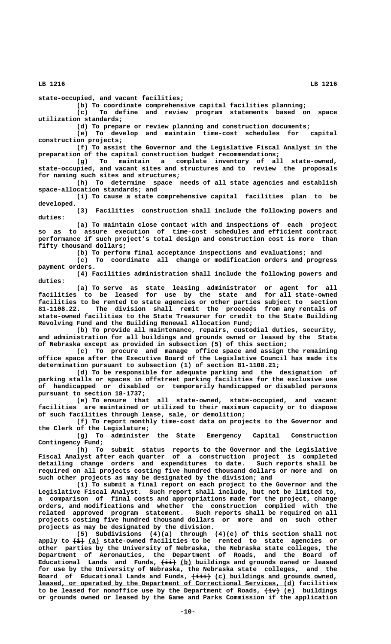**state-occupied, and vacant facilities;**

**(b) To coordinate comprehensive capital facilities planning; (c) To define and review program statements based on space utilization standards;**

**(d) To prepare or review planning and construction documents;**

**(e) To develop and maintain time-cost schedules for capital construction projects;**

**(f) To assist the Governor and the Legislative Fiscal Analyst in the preparation of the capital construction budget recommendations;**

**(g) To maintain a complete inventory of all state-owned, state-occupied, and vacant sites and structures and to review the proposals for naming such sites and structures;**

**(h) To determine space needs of all state agencies and establish space-allocation standards; and**

**(i) To cause a state comprehensive capital facilities plan to be developed.**

**(3) Facilities construction shall include the following powers and duties:**

**(a) To maintain close contact with and inspections of each project so as to assure execution of time-cost schedules and efficient contract performance if such project's total design and construction cost is more than fifty thousand dollars;**

**(b) To perform final acceptance inspections and evaluations; and**

**(c) To coordinate all change or modification orders and progress payment orders.**

**(4) Facilities administration shall include the following powers and duties:**

**(a) To serve as state leasing administrator or agent for all facilities to be leased for use by the state and for all state-owned facilities to be rented to state agencies or other parties subject to section 81-1108.22. The division shall remit the proceeds from any rentals of state-owned facilities to the State Treasurer for credit to the State Building Revolving Fund and the Building Renewal Allocation Fund;**

**(b) To provide all maintenance, repairs, custodial duties, security, and administration for all buildings and grounds owned or leased by the State of Nebraska except as provided in subsection (5) of this section;**

**(c) To procure and manage office space and assign the remaining office space after the Executive Board of the Legislative Council has made its determination pursuant to subsection (1) of section 81-1108.21;**

**(d) To be responsible for adequate parking and the designation of parking stalls or spaces in offstreet parking facilities for the exclusive use of handicapped or disabled or temporarily handicapped or disabled persons pursuant to section 18-1737;**

**(e) To ensure that all state-owned, state-occupied, and vacant facilities are maintained or utilized to their maximum capacity or to dispose of such facilities through lease, sale, or demolition;**

**(f) To report monthly time-cost data on projects to the Governor and the Clerk of the Legislature;**

**(g) To administer the State Emergency Capital Construction Contingency Fund;**

**(h) To submit status reports to the Governor and the Legislative Fiscal Analyst after each quarter of a construction project is completed detailing change orders and expenditures to date. Such reports shall be required on all projects costing five hundred thousand dollars or more and on such other projects as may be designated by the division; and**

**(i) To submit a final report on each project to the Governor and the Legislative Fiscal Analyst. Such report shall include, but not be limited to, a comparison of final costs and appropriations made for the project, change orders, and modifications and whether the construction complied with the** related approved program statement. **projects costing five hundred thousand dollars or more and on such other projects as may be designated by the division.**

**(5) Subdivisions (4)(a) through (4)(e) of this section shall not ——— \_\_\_ apply to (i) (a) state-owned facilities to be rented to state agencies or other parties by the University of Nebraska, the Nebraska state colleges, the Department of Aeronautics, the Department of Roads, and the Board of ———— \_\_\_ Educational Lands and Funds, (ii) (b) buildings and grounds owned or leased for use by the University of Nebraska, the Nebraska state colleges, and the** Board of Educational Lands and Funds,  $\overline{+i}\overline{i}$  (c) buildings and grounds owned,  **\_\_\_\_\_\_\_\_\_\_\_\_\_\_\_\_\_\_\_\_\_\_\_\_\_\_\_\_\_\_\_\_\_\_\_\_\_\_\_\_\_\_\_\_\_\_\_\_\_\_\_\_\_\_\_\_\_\_\_\_\_\_\_\_\_\_\_ leased, or operated by the Department of Correctional Services, (d) facilities** to be leased for nonoffice use by the Department of Roads,  $\overline{(\pm v)}$  <u>(e)</u> buildings **or grounds owned or leased by the Game and Parks Commission if the application**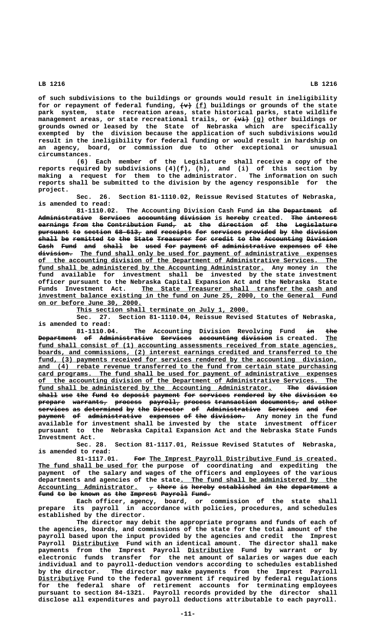**of such subdivisions to the buildings or grounds would result in ineligibility** for or repayment of federal funding,  $\left\{\text{w}\right\}$  (f) buildings or grounds of the state **park system, state recreation areas, state historical parks, state wildlife management areas, or state recreational trails, or**  $\overrightarrow{(vi)}$  **(g) other buildings or grounds owned or leased by the State of Nebraska which are specifically exempted by the division because the application of such subdivisions would result in the ineligibility for federal funding or would result in hardship on an agency, board, or commission due to other exceptional or unusual circumstances.**

**(6) Each member of the Legislature shall receive a copy of the reports required by subdivisions (4)(f), (h), and (i) of this section by making a request for them to the administrator. The information on such reports shall be submitted to the division by the agency responsible for the project.**

**Sec. 26. Section 81-1110.02, Reissue Revised Statutes of Nebraska, is amended to read:**

81-1110.02. The Accounting Division Cash Fund in the Department of Administrative Services accounting division is hereby created. The interest **earnings from the Contribution Fund, at the direction of the Legislature** pursuant to section 68-613, and receipts for services provided by the division **shall be remitted to the State Treasurer for credit to the Accounting Division ————— —— ———————— —— ——— ————— ————————— ——— —————— —— ——— —————————— ————————** Cash Fund and shall be used for payment of administrative expenses of the  $division$ . The fund shall only be used for payment of administrative expenses  **\_\_\_\_\_\_\_\_\_\_\_\_\_\_\_\_\_\_\_\_\_\_\_\_\_\_\_\_\_\_\_\_\_\_\_\_\_\_\_\_\_\_\_\_\_\_\_\_\_\_\_\_\_\_\_\_\_\_\_\_\_\_\_\_\_\_\_\_\_\_\_\_\_\_\_\_\_\_ of the accounting division of the Department of Administrative Services. The** fund shall be administered by the Accounting Administrator. Any money in the **fund available for investment shall be invested by the state investment officer pursuant to the Nebraska Capital Expansion Act and the Nebraska State** Funds Investment Act. The State Treasurer shall transfer the cash and  **\_\_\_\_\_\_\_\_\_\_\_\_\_\_\_\_\_\_\_\_\_\_\_\_\_\_\_\_\_\_\_\_\_\_\_\_\_\_\_\_\_\_\_\_\_\_\_\_\_\_\_\_\_\_\_\_\_\_\_\_\_\_\_\_\_\_\_\_\_\_\_\_\_\_\_\_\_\_ investment balance existing in the fund on June 25, 2000, to the General Fund \_\_\_\_\_\_\_\_\_\_\_\_\_\_\_\_\_\_\_\_\_\_\_\_\_\_\_ on or before June 30, 2000.**

 **\_\_\_\_\_\_\_\_\_\_\_\_\_\_\_\_\_\_\_\_\_\_\_\_\_\_\_\_\_\_\_\_\_\_\_\_\_\_\_\_\_\_\_\_\_ This section shall terminate on July 1, 2000.**

**Sec. 27. Section 81-1110.04, Reissue Revised Statutes of Nebraska, is amended to read:**

**81-1110.04.** The Accounting Division Revolving Fund in the <del>Department of Administrative Services accounting-division</del>-is-created. <u>The</u> fund shall consist of (1) accounting assessments received from state agencies,  **\_\_\_\_\_\_\_\_\_\_\_\_\_\_\_\_\_\_\_\_\_\_\_\_\_\_\_\_\_\_\_\_\_\_\_\_\_\_\_\_\_\_\_\_\_\_\_\_\_\_\_\_\_\_\_\_\_\_\_\_\_\_\_\_\_\_\_\_\_\_\_\_\_\_\_\_\_\_ boards, and commissions, (2) interest earnings credited and transferred to the** fund, (3) payments received for services rendered by the accounting division, and (4) rebate revenue transferred to the fund from certain state purchasing  **\_\_\_\_\_\_\_\_\_\_\_\_\_\_\_\_\_\_\_\_\_\_\_\_\_\_\_\_\_\_\_\_\_\_\_\_\_\_\_\_\_\_\_\_\_\_\_\_\_\_\_\_\_\_\_\_\_\_\_\_\_\_\_\_\_\_\_\_\_\_\_\_\_\_\_\_\_\_ card programs. The fund shall be used for payment of administrative expenses \_\_\_\_\_\_\_\_\_\_\_\_\_\_\_\_\_\_\_\_\_\_\_\_\_\_\_\_\_\_\_\_\_\_\_\_\_\_\_\_\_\_\_\_\_\_\_\_\_\_\_\_\_\_\_\_\_\_\_\_\_\_\_\_\_\_\_\_\_\_\_\_\_\_\_\_\_\_ of the accounting division of the Department of Administrative Services. The** fund shall be administered by the Accounting Administrator. The division shall use the fund to deposit payment for services rendered by the division to  $\frac{1}{2}$   $\frac{1}{2}$   $\frac{1}{2}$   $\frac{1}{2}$   $\frac{1}{2}$   $\frac{1}{2}$   $\frac{1}{2}$   $\frac{1}{2}$   $\frac{1}{2}$   $\frac{1}{2}$   $\frac{1}{2}$   $\frac{1}{2}$   $\frac{1}{2}$   $\frac{1}{2}$   $\frac{1}{2}$   $\frac{1}{2}$   $\frac{1}{2}$   $\frac{1}{2}$   $\frac{1}{2}$   $\frac{1}{2}$   $\frac{1}{2}$   $\frac{1}{2}$   $\$ services as determined by the Director of Administrative Services and for **payment** of administrative expenses of the division. Any money in the fund **available for investment shall be invested by the state investment officer pursuant to the Nebraska Capital Expansion Act and the Nebraska State Funds Investment Act.**

**Sec. 28. Section 81-1117.01, Reissue Revised Statutes of Nebraska, is amended to read:**

81-1117.01. For The Imprest Payroll Distributive Fund is created.  **\_\_\_\_\_\_\_\_\_\_\_\_\_\_\_\_\_\_\_\_\_\_\_\_\_\_ The fund shall be used for the purpose of coordinating and expediting the payment of the salary and wages of the officers and employees of the various \_\_\_\_\_\_\_\_\_\_\_\_\_\_\_\_\_\_\_\_\_\_\_\_\_\_\_\_\_\_\_\_\_\_\_\_\_\_\_\_\_ departments and agencies of the state. The fund shall be administered by the** Accounting Administrator.  $\tau$  there is hereby established in the department a fund to be known as the Imprest Payroll Fund.

**Each officer, agency, board, or commission of the state shall prepare its payroll in accordance with policies, procedures, and schedules established by the director.**

**The director may debit the appropriate programs and funds of each of the agencies, boards, and commissions of the state for the total amount of the payroll based upon the input provided by the agencies and credit the Imprest** Payroll Distributive Fund with an identical amount. The director shall make  **\_\_\_\_\_\_\_\_\_\_\_\_ payments from the Imprest Payroll Distributive Fund by warrant or by electronic funds transfer for the net amount of salaries or wages due each individual and to payroll-deduction vendors according to schedules established by the director. The director may make payments from the Imprest Payroll \_\_\_\_\_\_\_\_\_\_\_\_ Distributive Fund to the federal government if required by federal regulations for the federal share of retirement accounts for terminating employees pursuant to section 84-1321. Payroll records provided by the director shall disclose all expenditures and payroll deductions attributable to each payroll.**